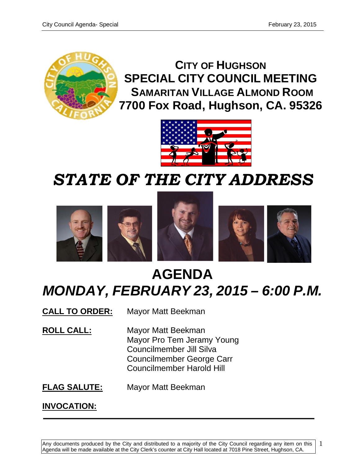1



**CITY OF HUGHSON SPECIAL CITY COUNCIL MEETING SAMARITAN VILLAGE ALMOND ROOM 7700 Fox Road, Hughson, CA. 95326**



# *STATE OF THE CITY ADDRESS*



# **AGENDA** *MONDAY, FEBRUARY 23, 2015 – 6:00 P.M.*

**CALL TO ORDER:** Mayor Matt Beekman

**ROLL CALL:** Mayor Matt Beekman Mayor Pro Tem Jeramy Young Councilmember Jill Silva Councilmember George Carr Councilmember Harold Hill

**FLAG SALUTE:** Mayor Matt Beekman

**INVOCATION:**

Any documents produced by the City and distributed to a majority of the City Council regarding any item on this Agenda will be made available at the City Clerk's counter at City Hall located at 7018 Pine Street, Hughson, CA.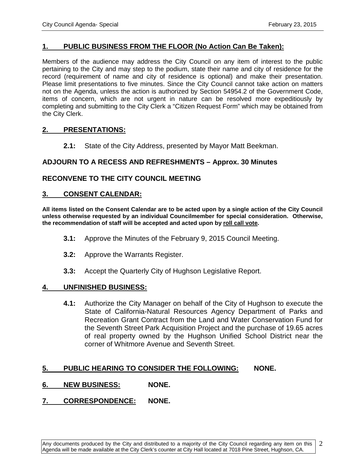## **1. PUBLIC BUSINESS FROM THE FLOOR (No Action Can Be Taken):**

Members of the audience may address the City Council on any item of interest to the public pertaining to the City and may step to the podium, state their name and city of residence for the record (requirement of name and city of residence is optional) and make their presentation. Please limit presentations to five minutes. Since the City Council cannot take action on matters not on the Agenda, unless the action is authorized by Section 54954.2 of the Government Code, items of concern, which are not urgent in nature can be resolved more expeditiously by completing and submitting to the City Clerk a "Citizen Request Form" which may be obtained from the City Clerk.

#### **2. PRESENTATIONS:**

**2.1:** State of the City Address, presented by Mayor Matt Beekman.

## **ADJOURN TO A RECESS AND REFRESHMENTS – Approx. 30 Minutes**

#### **RECONVENE TO THE CITY COUNCIL MEETING**

#### **3. CONSENT CALENDAR:**

**All items listed on the Consent Calendar are to be acted upon by a single action of the City Council unless otherwise requested by an individual Councilmember for special consideration. Otherwise, the recommendation of staff will be accepted and acted upon by roll call vote.**

- **3.1:** Approve the Minutes of the February 9, 2015 Council Meeting.
- **3.2:** Approve the Warrants Register.
- **3.3:** Accept the Quarterly City of Hughson Legislative Report.

#### **4. UNFINISHED BUSINESS:**

**4.1:** Authorize the City Manager on behalf of the City of Hughson to execute the State of California-Natural Resources Agency Department of Parks and Recreation Grant Contract from the Land and Water Conservation Fund for the Seventh Street Park Acquisition Project and the purchase of 19.65 acres of real property owned by the Hughson Unified School District near the corner of Whitmore Avenue and Seventh Street.

## **5. PUBLIC HEARING TO CONSIDER THE FOLLOWING: NONE.**

## **6. NEW BUSINESS: NONE.**

## **7. CORRESPONDENCE: NONE.**

2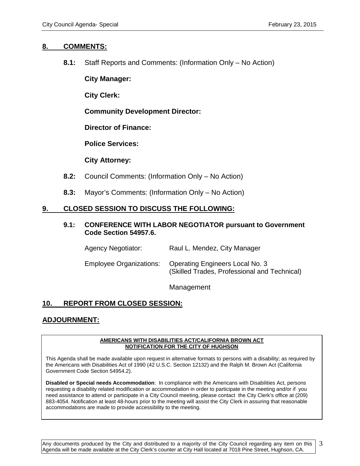#### **8. COMMENTS:**

**8.1:** Staff Reports and Comments: (Information Only – No Action)

**City Manager:**

**City Clerk:**

**Community Development Director:**

**Director of Finance:**

**Police Services:**

**City Attorney:**

- **8.2:** Council Comments: (Information Only No Action)
- **8.3:** Mayor's Comments: (Information Only No Action)

## **9. CLOSED SESSION TO DISCUSS THE FOLLOWING:**

#### **9.1: CONFERENCE WITH LABOR NEGOTIATOR pursuant to Government Code Section 54957.6.**

| <b>Agency Negotiator:</b>      | Raul L. Mendez, City Manager                                                           |
|--------------------------------|----------------------------------------------------------------------------------------|
| <b>Employee Organizations:</b> | <b>Operating Engineers Local No. 3</b><br>(Skilled Trades, Professional and Technical) |

Management

# **10. REPORT FROM CLOSED SESSION:**

# **ADJOURNMENT:**

#### **AMERICANS WITH DISABILITIES ACT/CALIFORNIA BROWN ACT NOTIFICATION FOR THE CITY OF HUGHSON**

This Agenda shall be made available upon request in alternative formats to persons with a disability; as required by the Americans with Disabilities Act of 1990 (42 U.S.C. Section 12132) and the Ralph M. Brown Act (California Government Code Section 54954.2).

**Disabled or Special needs Accommodation**: In compliance with the Americans with Disabilities Act, persons requesting a disability related modification or accommodation in order to participate in the meeting and/or if you need assistance to attend or participate in a City Council meeting, please contact the City Clerk's office at (209) 883-4054. Notification at least 48-hours prior to the meeting will assist the City Clerk in assuring that reasonable accommodations are made to provide accessibility to the meeting.

Any documents produced by the City and distributed to a majority of the City Council regarding any item on this Agenda will be made available at the City Clerk's counter at City Hall located at 7018 Pine Street, Hughson, CA.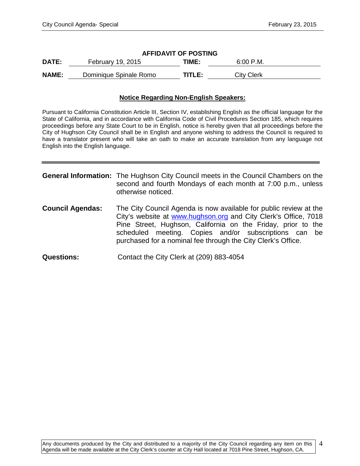| <b>AFFIDAVIT OF POSTING</b> |                        |        |                   |  |  |
|-----------------------------|------------------------|--------|-------------------|--|--|
| <b>DATE:</b>                | February 19, 2015      | TIME:  | 6:00 P.M.         |  |  |
| <b>NAME:</b>                | Dominique Spinale Romo | TITLE: | <b>City Clerk</b> |  |  |

#### **Notice Regarding Non-English Speakers:**

Pursuant to California Constitution Article III, Section IV, establishing English as the official language for the State of California, and in accordance with California Code of Civil Procedures Section 185, which requires proceedings before any State Court to be in English, notice is hereby given that all proceedings before the City of Hughson City Council shall be in English and anyone wishing to address the Council is required to have a translator present who will take an oath to make an accurate translation from any language not English into the English language.

|                         | <b>General Information:</b> The Hughson City Council meets in the Council Chambers on the<br>second and fourth Mondays of each month at 7:00 p.m., unless<br>otherwise noticed.                                                                                                                                               |
|-------------------------|-------------------------------------------------------------------------------------------------------------------------------------------------------------------------------------------------------------------------------------------------------------------------------------------------------------------------------|
| <b>Council Agendas:</b> | The City Council Agenda is now available for public review at the<br>City's website at www.hughson.org and City Clerk's Office, 7018<br>Pine Street, Hughson, California on the Friday, prior to the<br>scheduled meeting. Copies and/or subscriptions can be<br>purchased for a nominal fee through the City Clerk's Office. |
| <b>Questions:</b>       | Contact the City Clerk at (209) 883-4054                                                                                                                                                                                                                                                                                      |

4